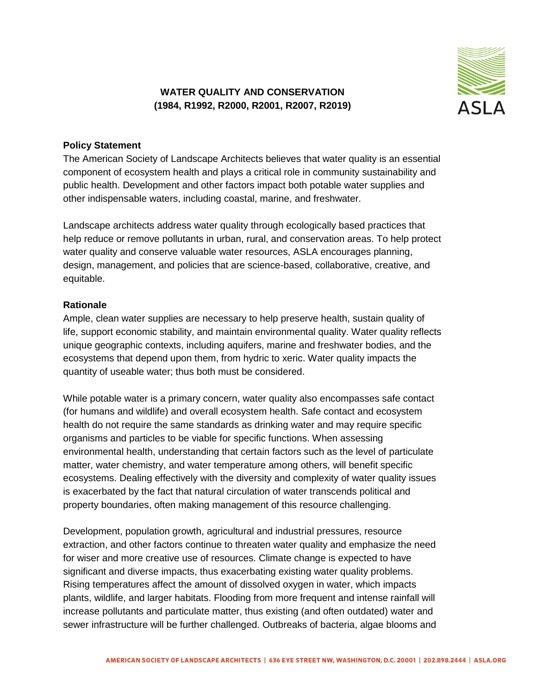## **WATER QUALITY AND CONSERVATION (1984, R1992, R2000, R2001, R2007, R2019)**



## **Policy Statement**

The American Society of Landscape Architects believes that water quality is an essential component of ecosystem health and plays a critical role in community sustainability and public health. Development and other factors impact both potable water supplies and other indispensable waters, including coastal, marine, and freshwater.

Landscape architects address water quality through ecologically based practices that help reduce or remove pollutants in urban, rural, and conservation areas. To help protect water quality and conserve valuable water resources, ASLA encourages planning, design, management, and policies that are science-based, collaborative, creative, and equitable.

## **Rationale**

Ample, clean water supplies are necessary to help preserve health, sustain quality of life, support economic stability, and maintain environmental quality. Water quality reflects unique geographic contexts, including aquifers, marine and freshwater bodies, and the ecosystems that depend upon them, from hydric to xeric. Water quality impacts the quantity of useable water; thus both must be considered.

While potable water is a primary concern, water quality also encompasses safe contact (for humans and wildlife) and overall ecosystem health. Safe contact and ecosystem health do not require the same standards as drinking water and may require specific organisms and particles to be viable for specific functions. When assessing environmental health, understanding that certain factors such as the level of particulate matter, water chemistry, and water temperature among others, will benefit specific ecosystems. Dealing effectively with the diversity and complexity of water quality issues is exacerbated by the fact that natural circulation of water transcends political and property boundaries, often making management of this resource challenging.

Development, population growth, agricultural and industrial pressures, resource extraction, and other factors continue to threaten water quality and emphasize the need for wiser and more creative use of resources. Climate change is expected to have significant and diverse impacts, thus exacerbating existing water quality problems. Rising temperatures affect the amount of dissolved oxygen in water, which impacts plants, wildlife, and larger habitats. Flooding from more frequent and intense rainfall will increase pollutants and particulate matter, thus existing (and often outdated) water and sewer infrastructure will be further challenged. Outbreaks of bacteria, algae blooms and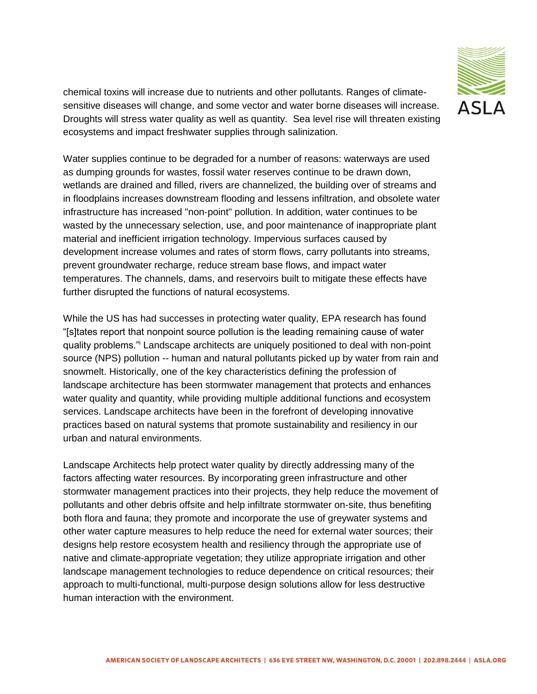

chemical toxins will increase due to nutrients and other pollutants. Ranges of climatesensitive diseases will change, and some vector and water borne diseases will increase. Droughts will stress water quality as well as quantity. Sea level rise will threaten existing ecosystems and impact freshwater supplies through salinization.

Water supplies continue to be degraded for a number of reasons: waterways are used as dumping grounds for wastes, fossil water reserves continue to be drawn down, wetlands are drained and filled, rivers are channelized, the building over of streams and in floodplains increases downstream flooding and lessens infiltration, and obsolete water infrastructure has increased "non-point" pollution. In addition, water continues to be wasted by the unnecessary selection, use, and poor maintenance of inappropriate plant material and inefficient irrigation technology. Impervious surfaces caused by development increase volumes and rates of storm flows, carry pollutants into streams, prevent groundwater recharge, reduce stream base flows, and impact water temperatures. The channels, dams, and reservoirs built to mitigate these effects have further disrupted the functions of natural ecosystems.

While the US has had successes in protecting water quality, EPA research has found "[s]tates report that nonpoint source pollution is the leading remaining cause of water quality problems."<sup>i</sup> Landscape architects are uniquely positioned to deal with non-point source (NPS) pollution -- human and natural pollutants picked up by water from rain and snowmelt. Historically, one of the key characteristics defining the profession of landscape architecture has been stormwater management that protects and enhances water quality and quantity, while providing multiple additional functions and ecosystem services. Landscape architects have been in the forefront of developing innovative practices based on natural systems that promote sustainability and resiliency in our urban and natural environments.

Landscape Architects help protect water quality by directly addressing many of the factors affecting water resources. By incorporating green infrastructure and other stormwater management practices into their projects, they help reduce the movement of pollutants and other debris offsite and help infiltrate stormwater on-site, thus benefiting both flora and fauna; they promote and incorporate the use of greywater systems and other water capture measures to help reduce the need for external water sources; their designs help restore ecosystem health and resiliency through the appropriate use of native and climate-appropriate vegetation; they utilize appropriate irrigation and other landscape management technologies to reduce dependence on critical resources; their approach to multi-functional, multi-purpose design solutions allow for less destructive human interaction with the environment.